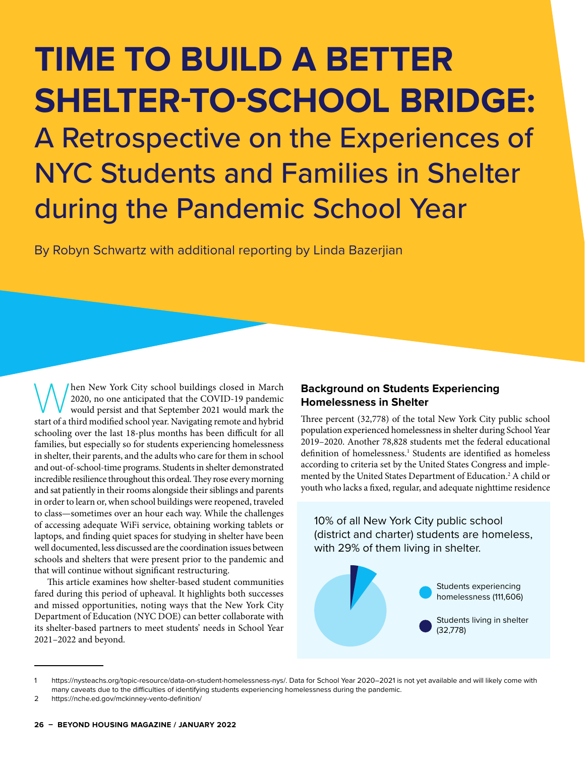# **TIME TO BUILD A BETTER SHELTER-TO-SCHOOL BRIDGE:** A Retrospective on the Experiences of NYC Students and Families in Shelter during the Pandemic School Year

By Robyn Schwartz with additional reporting by Linda Bazerjian

When New York City school buildings closed in March 2020, no one anticipated that the COVID-19 pandemic would persist and that September 2021 would mark the start of a third modified school wear. Navigating remote and hybr 2020, no one anticipated that the COVID-19 pandemic start of a third modified school year. Navigating remote and hybrid schooling over the last 18-plus months has been difficult for all families, but especially so for students experiencing homelessness in shelter, their parents, and the adults who care for them in school and out-of-school-time programs. Students in shelter demonstrated incredible resilience throughout this ordeal. They rose every morning and sat patiently in their rooms alongside their siblings and parents in order to learn or, when school buildings were reopened, traveled to class—sometimes over an hour each way. While the challenges of accessing adequate WiFi service, obtaining working tablets or laptops, and finding quiet spaces for studying in shelter have been well documented, less discussed are the coordination issues between schools and shelters that were present prior to the pandemic and that will continue without significant restructuring.

This article examines how shelter-based student communities fared during this period of upheaval. It highlights both successes and missed opportunities, noting ways that the New York City Department of Education (NYC DOE) can better collaborate with its shelter-based partners to meet students' needs in School Year 2021–2022 and beyond.

### **Background on Students Experiencing Homelessness in Shelter**

Three percent (32,778) of the total New York City public school population experienced homelessness in shelter during School Year 2019–2020. Another 78,828 students met the federal educational definition of homelessness.<sup>1</sup> Students are identified as homeless according to criteria set by the United States Congress and implemented by the United States Department of Education.2 A child or youth who lacks a fixed, regular, and adequate nighttime residence

10% of all New York City public school (district and charter) students are homeless, with 29% of them living in shelter.



<sup>1</sup> https://nysteachs.org/topic-resource/data-on-student-homelessness-nys/. Data for School Year 2020–2021 is not yet available and will likely come with many caveats due to the difficulties of identifying students experiencing homelessness during the pandemic.

<sup>2</sup> https://nche.ed.gov/mckinney-vento-definition/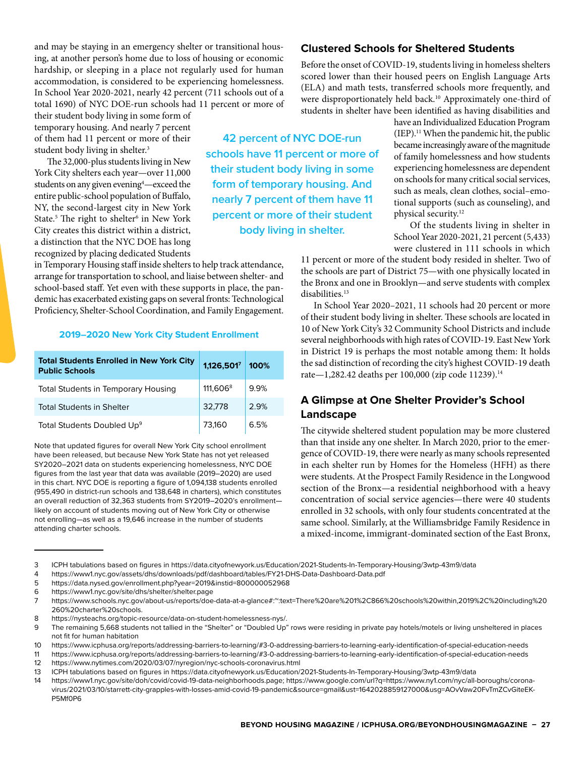and may be staying in an emergency shelter or transitional housing, at another person's home due to loss of housing or economic hardship, or sleeping in a place not regularly used for human accommodation, is considered to be experiencing homelessness. In School Year 2020-2021, nearly 42 percent (711 schools out of a total 1690) of NYC DOE-run schools had 11 percent or more of

their student body living in some form of temporary housing. And nearly 7 percent of them had 11 percent or more of their student body living in shelter.<sup>3</sup>

The 32,000-plus students living in New York City shelters each year—over 11,000 students on any given evening4 —exceed the entire public-school population of Buffalo, NY, the second-largest city in New York State.<sup>5</sup> The right to shelter<sup>6</sup> in New York City creates this district within a district, a distinction that the NYC DOE has long recognized by placing dedicated Students

in Temporary Housing staff inside shelters to help track attendance, arrange for transportation to school, and liaise between shelter- and school-based staff. Yet even with these supports in place, the pandemic has exacerbated existing gaps on several fronts: Technological Proficiency, Shelter-School Coordination, and Family Engagement.

### **2019–2020 New York City Student Enrollment**

| <b>Total Students Enrolled in New York City</b><br><b>Public Schools</b> | 1,126,5017           | 100% |
|--------------------------------------------------------------------------|----------------------|------|
| Total Students in Temporary Housing                                      | 111,606 <sup>8</sup> | 9.9% |
| <b>Total Students in Shelter</b>                                         | 32,778               | 2.9% |
| Total Students Doubled Up <sup>9</sup>                                   | 73,160               | 6.5% |

Note that updated figures for overall New York City school enrollment have been released, but because New York State has not yet released SY2020–2021 data on students experiencing homelessness, NYC DOE figures from the last year that data was available (2019–2020) are used in this chart. NYC DOE is reporting a figure of 1,094,138 students enrolled (955,490 in district-run schools and 138,648 in charters), which constitutes an overall reduction of 32,363 students from SY2019–2020's enrollment likely on account of students moving out of New York City or otherwise not enrolling—as well as a 19,646 increase in the number of students attending charter schools.

### **42 percent of NYC DOE-run schools have 11 percent or more of their student body living in some form of temporary housing. And nearly 7 percent of them have 11 percent or more of their student body living in shelter.**

### **Clustered Schools for Sheltered Students**

Before the onset of COVID-19, students living in homeless shelters scored lower than their housed peers on English Language Arts (ELA) and math tests, transferred schools more frequently, and were disproportionately held back.<sup>10</sup> Approximately one-third of students in shelter have been identified as having disabilities and

> have an Individualized Education Program  $(IEP).<sup>11</sup>$  When the pandemic hit, the public became increasingly aware of the magnitude of family homelessness and how students experiencing homelessness are dependent on schools for many critical social services, such as meals, clean clothes, social–emotional supports (such as counseling), and physical security.12

> Of the students living in shelter in School Year 2020-2021, 21 percent (5,433) were clustered in 111 schools in which

11 percent or more of the student body resided in shelter. Two of the schools are part of District 75—with one physically located in the Bronx and one in Brooklyn—and serve students with complex disabilities.<sup>13</sup>

In School Year 2020–2021, 11 schools had 20 percent or more of their student body living in shelter. These schools are located in 10 of New York City's 32 Community School Districts and include several neighborhoods with high rates of COVID-19. East New York in District 19 is perhaps the most notable among them: It holds the sad distinction of recording the city's highest COVID-19 death rate-1,282.42 deaths per 100,000 (zip code 11239).<sup>14</sup>

### **A Glimpse at One Shelter Provider's School Landscape**

The citywide sheltered student population may be more clustered than that inside any one shelter. In March 2020, prior to the emergence of COVID-19, there were nearly as many schools represented in each shelter run by Homes for the Homeless (HFH) as there were students. At the Prospect Family Residence in the Longwood section of the Bronx—a residential neighborhood with a heavy concentration of social service agencies—there were 40 students enrolled in 32 schools, with only four students concentrated at the same school. Similarly, at the Williamsbridge Family Residence in a mixed-income, immigrant-dominated section of the East Bronx,

3 ICPH tabulations based on figures in https://data.cityofnewyork.us/Education/2021-Students-In-Temporary-Housing/3wtp-43m9/data

4 https://www1.nyc.gov/assets/dhs/downloads/pdf/dashboard/tables/FY21-DHS-Data-Dashboard-Data.pdf

<sup>5</sup> https://data.nysed.gov/enrollment.php?year=2019&instid=800000052968

<sup>6</sup> https://www1.nyc.gov/site/dhs/shelter/shelter.page

<sup>7</sup> https://www.schools.nyc.gov/about-us/reports/doe-data-at-a-glance#:~:text=There%20are%201%2C866%20schools%20within,2019%2C%20including%20 260%20charter%20schools.

<sup>8</sup> https://nysteachs.org/topic-resource/data-on-student-homelessness-nys/.

<sup>9</sup> The remaining 5,668 students not tallied in the "Shelter" or "Doubled Up" rows were residing in private pay hotels/motels or living unsheltered in places not fit for human habitation

<sup>10</sup> https://www.icphusa.org/reports/addressing-barriers-to-learning/#3-0-addressing-barriers-to-learning-early-identification-of-special-education-needs

<sup>11</sup> https://www.icphusa.org/reports/addressing-barriers-to-learning/#3-0-addressing-barriers-to-learning-early-identification-of-special-education-needs 12 https://www.nytimes.com/2020/03/07/nyregion/nyc-schools-coronavirus.html

<sup>13</sup> ICPH tabulations based on figures in https://data.cityofnewyork.us/Education/2021-Students-In-Temporary-Housing/3wtp-43m9/data

<sup>14</sup> https://www1.nyc.gov/site/doh/covid/covid-19-data-neighborhoods.page; https://www.google.com/url?q=https://www.ny1.com/nyc/all-boroughs/coronavirus/2021/03/10/starrett-city-grapples-with-losses-amid-covid-19-pandemic&source=gmail&ust=1642028859127000&usg=AOvVaw20FvTmZCvGiteEK-P5Mf0P6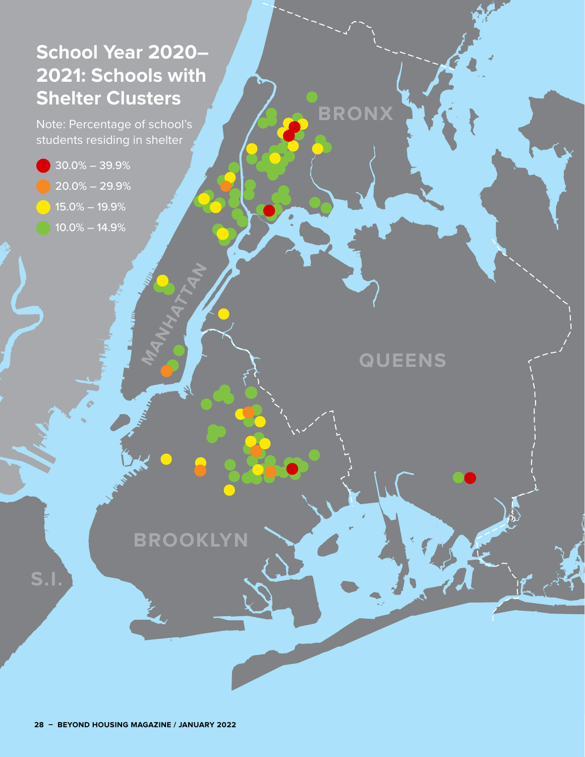## **School Year 2020– 2021: Schools with Shelter Clusters**

Note: Percentage of school's students residing in shelter

- 30.0% 39.9%
- 20.0% 29.9%
- 15.0% 19.9%
- 10.0% 14.9%

**S.I.**

**QUEENS**

**AN** 

**BRONX**

**BROOKLYN**

MANHATAN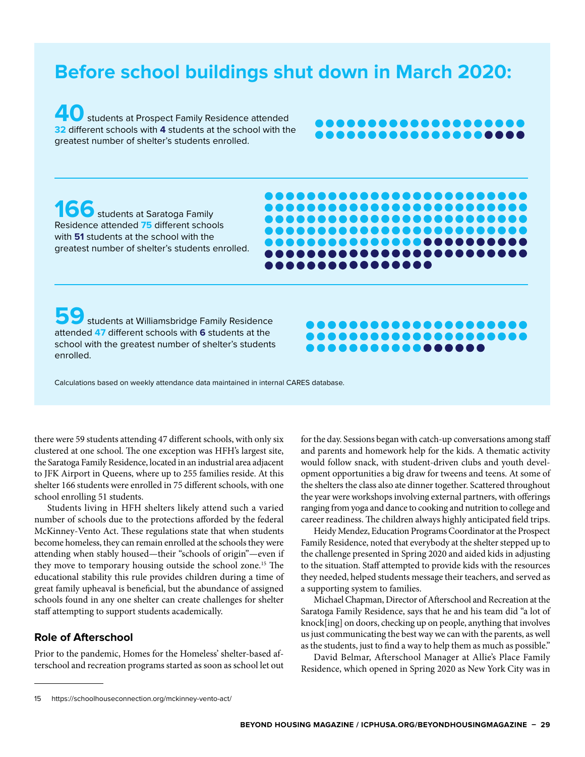## **Before school buildings shut down in March 2020:**

**40** students at Prospect Family Residence attended **32** different schools with **4** students at the school with the greatest number of shelter's students enrolled.

### ................. <u>..................</u>

,,,,,,,,,,,,,,,,,,, , . . . . . . . . . . . . . . . . . ................... <del>.....................</del> ,,,,,,,,,,,,,,,,, ....................

. . . . . . . . . . . . . . . .

166 students at Saratoga Family Residence attended **75** different schools with **51** students at the school with the greatest number of shelter's students enrolled.

**59** students at Williamsbridge Family Residence attended **47** different schools with **6** students at the school with the greatest number of shelter's students enrolled.



Calculations based on weekly attendance data maintained in internal CARES database.

there were 59 students attending 47 different schools, with only six clustered at one school. The one exception was HFH's largest site, the Saratoga Family Residence, located in an industrial area adjacent to JFK Airport in Queens, where up to 255 families reside. At this shelter 166 students were enrolled in 75 different schools, with one school enrolling 51 students.

Students living in HFH shelters likely attend such a varied number of schools due to the protections afforded by the federal McKinney-Vento Act. These regulations state that when students become homeless, they can remain enrolled at the schools they were attending when stably housed—their "schools of origin"—even if they move to temporary housing outside the school zone.15 The educational stability this rule provides children during a time of great family upheaval is beneficial, but the abundance of assigned schools found in any one shelter can create challenges for shelter staff attempting to support students academically.

### **Role of Afterschool**

Prior to the pandemic, Homes for the Homeless' shelter-based afterschool and recreation programs started as soon as school let out for the day. Sessions began with catch-up conversations among staff and parents and homework help for the kids. A thematic activity would follow snack, with student-driven clubs and youth development opportunities a big draw for tweens and teens. At some of the shelters the class also ate dinner together. Scattered throughout the year were workshops involving external partners, with offerings ranging from yoga and dance to cooking and nutrition to college and career readiness. The children always highly anticipated field trips.

Heidy Mendez, Education Programs Coordinator at the Prospect Family Residence, noted that everybody at the shelter stepped up to the challenge presented in Spring 2020 and aided kids in adjusting to the situation. Staff attempted to provide kids with the resources they needed, helped students message their teachers, and served as a supporting system to families.

Michael Chapman, Director of Afterschool and Recreation at the Saratoga Family Residence, says that he and his team did "a lot of knock[ing] on doors, checking up on people, anything that involves us just communicating the best way we can with the parents, as well as the students, just to find a way to help them as much as possible."

David Belmar, Afterschool Manager at Allie's Place Family Residence, which opened in Spring 2020 as New York City was in

<sup>15</sup> https://schoolhouseconnection.org/mckinney-vento-act/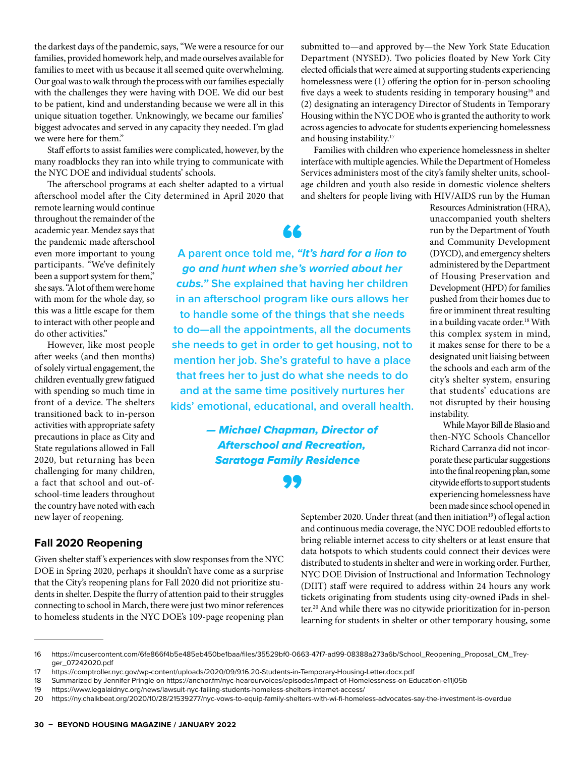the darkest days of the pandemic, says, "We were a resource for our families, provided homework help, and made ourselves available for families to meet with us because it all seemed quite overwhelming. Our goal was to walk through the process with our families especially with the challenges they were having with DOE. We did our best to be patient, kind and understanding because we were all in this unique situation together. Unknowingly, we became our families' biggest advocates and served in any capacity they needed. I'm glad we were here for them."

Staff efforts to assist families were complicated, however, by the many roadblocks they ran into while trying to communicate with the NYC DOE and individual students' schools.

The afterschool programs at each shelter adapted to a virtual afterschool model after the City determined in April 2020 that

remote learning would continue throughout the remainder of the academic year. Mendez says that the pandemic made afterschool even more important to young participants. "We've definitely been a support system for them," she says. "A lot of them were home with mom for the whole day, so this was a little escape for them to interact with other people and do other activities."

However, like most people after weeks (and then months) of solely virtual engagement, the children eventually grew fatigued with spending so much time in front of a device. The shelters transitioned back to in-person activities with appropriate safety precautions in place as City and State regulations allowed in Fall 2020, but returning has been challenging for many children, a fact that school and out-ofschool-time leaders throughout the country have noted with each new layer of reopening.

### **Fall 2020 Reopening**

Given shelter staff 's experiences with slow responses from the NYC DOE in Spring 2020, perhaps it shouldn't have come as a surprise that the City's reopening plans for Fall 2020 did not prioritize students in shelter. Despite the flurry of attention paid to their struggles connecting to school in March, there were just two minor references to homeless students in the NYC DOE's 109-page reopening plan

submitted to—and approved by—the New York State Education Department (NYSED). Two policies floated by New York City elected officials that were aimed at supporting students experiencing homelessness were (1) offering the option for in-person schooling five days a week to students residing in temporary housing<sup>16</sup> and (2) designating an interagency Director of Students in Temporary Housing within the NYC DOE who is granted the authority to work across agencies to advocate for students experiencing homelessness and housing instability.17

Families with children who experience homelessness in shelter interface with multiple agencies. While the Department of Homeless Services administers most of the city's family shelter units, schoolage children and youth also reside in domestic violence shelters and shelters for people living with HIV/AIDS run by the Human

**A parent once told me,** *"It's hard for a lion to go and hunt when she's worried about her cubs."* **She explained that having her children in an afterschool program like ours allows her to handle some of the things that she needs to do—all the appointments, all the documents she needs to get in order to get housing, not to mention her job. She's grateful to have a place that frees her to just do what she needs to do and at the same time positively nurtures her kids' emotional, educational, and overall health.** 

> *— Michael Chapman, Director of Afterschool and Recreation, Saratoga Family Residence*

unaccompanied youth shelters run by the Department of Youth and Community Development (DYCD), and emergency shelters administered by the Department of Housing Preservation and Development (HPD) for families pushed from their homes due to fire or imminent threat resulting in a building vacate order.<sup>18</sup> With this complex system in mind, it makes sense for there to be a designated unit liaising between the schools and each arm of the city's shelter system, ensuring that students' educations are not disrupted by their housing instability.

Resources Administration (HRA),

While Mayor Bill de Blasio and then-NYC Schools Chancellor Richard Carranza did not incorporate these particular suggestions into the final reopening plan, some citywide efforts to support students experiencing homelessness have been made since school opened in

September 2020. Under threat (and then initiation<sup>19</sup>) of legal action and continuous media coverage, the NYC DOE redoubled efforts to bring reliable internet access to city shelters or at least ensure that data hotspots to which students could connect their devices were distributed to students in shelter and were in working order. Further, NYC DOE Division of Instructional and Information Technology (DIIT) staff were required to address within 24 hours any work tickets originating from students using city-owned iPads in shelter.20 And while there was no citywide prioritization for in-person learning for students in shelter or other temporary housing, some

<sup>16</sup> https://mcusercontent.com/6fe866f4b5e485eb450be1baa/files/35529bf0-0663-47f7-ad99-08388a273a6b/School\_Reopening\_Proposal\_CM\_Treyger\_07242020.pdf

<sup>17</sup> https://comptroller.nyc.gov/wp-content/uploads/2020/09/9.16.20-Students-in-Temporary-Housing-Letter.docx.pdf

<sup>18</sup> Summarized by Jennifer Pringle on https://anchor.fm/nyc-hearourvoices/episodes/Impact-of-Homelessness-on-Education-e11j05b

<sup>19</sup> https://www.legalaidnyc.org/news/lawsuit-nyc-failing-students-homeless-shelters-internet-access/

<sup>20</sup> https://ny.chalkbeat.org/2020/10/28/21539277/nyc-vows-to-equip-family-shelters-with-wi-fi-homeless-advocates-say-the-investment-is-overdue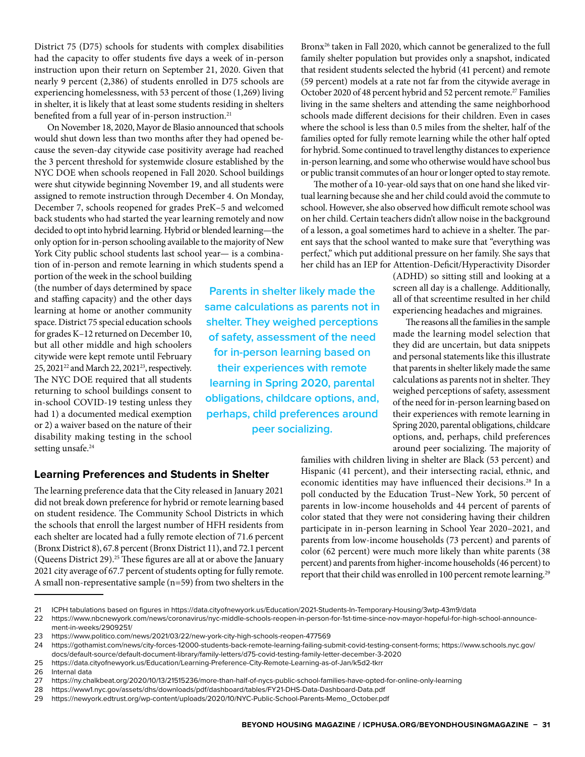District 75 (D75) schools for students with complex disabilities had the capacity to offer students five days a week of in-person instruction upon their return on September 21, 2020. Given that nearly 9 percent (2,386) of students enrolled in D75 schools are experiencing homelessness, with 53 percent of those (1,269) living in shelter, it is likely that at least some students residing in shelters benefited from a full year of in-person instruction.<sup>21</sup>

On November 18, 2020, Mayor de Blasio announced that schools would shut down less than two months after they had opened because the seven-day citywide case positivity average had reached the 3 percent threshold for systemwide closure established by the NYC DOE when schools reopened in Fall 2020. School buildings were shut citywide beginning November 19, and all students were assigned to remote instruction through December 4. On Monday, December 7, schools reopened for grades PreK–5 and welcomed back students who had started the year learning remotely and now decided to opt into hybrid learning. Hybrid or blended learning—the only option for in-person schooling available to the majority of New York City public school students last school year— is a combination of in-person and remote learning in which students spend a

portion of the week in the school building (the number of days determined by space and staffing capacity) and the other days learning at home or another community space. District 75 special education schools for grades K–12 returned on December 10, but all other middle and high schoolers citywide were kept remote until February 25, 2021<sup>22</sup> and March 22, 2021<sup>23</sup>, respectively. The NYC DOE required that all students returning to school buildings consent to in-school COVID-19 testing unless they had 1) a documented medical exemption or 2) a waiver based on the nature of their disability making testing in the school setting unsafe.<sup>24</sup>

**Parents in shelter likely made the same calculations as parents not in shelter. They weighed perceptions of safety, assessment of the need for in-person learning based on their experiences with remote learning in Spring 2020, parental obligations, childcare options, and, perhaps, child preferences around peer socializing.**

### **Learning Preferences and Students in Shelter**

The learning preference data that the City released in January 2021 did not break down preference for hybrid or remote learning based on student residence. The Community School Districts in which the schools that enroll the largest number of HFH residents from each shelter are located had a fully remote election of 71.6 percent (Bronx District 8), 67.8 percent (Bronx District 11), and 72.1 percent (Queens District 29).<sup>25</sup> These figures are all at or above the January 2021 city average of 67.7 percent of students opting for fully remote. A small non-representative sample (n=59) from two shelters in the

Bronx26 taken in Fall 2020, which cannot be generalized to the full family shelter population but provides only a snapshot, indicated that resident students selected the hybrid (41 percent) and remote (59 percent) models at a rate not far from the citywide average in October 2020 of 48 percent hybrid and 52 percent remote.27 Families living in the same shelters and attending the same neighborhood schools made different decisions for their children. Even in cases where the school is less than 0.5 miles from the shelter, half of the families opted for fully remote learning while the other half opted for hybrid. Some continued to travel lengthy distances to experience in-person learning, and some who otherwise would have school bus or public transit commutes of an hour or longer opted to stay remote.

The mother of a 10-year-old says that on one hand she liked virtual learning because she and her child could avoid the commute to school. However, she also observed how difficult remote school was on her child. Certain teachers didn't allow noise in the background of a lesson, a goal sometimes hard to achieve in a shelter. The parent says that the school wanted to make sure that "everything was perfect," which put additional pressure on her family. She says that her child has an IEP for Attention-Deficit/Hyperactivity Disorder

(ADHD) so sitting still and looking at a screen all day is a challenge. Additionally, all of that screentime resulted in her child experiencing headaches and migraines.

The reasons all the families in the sample made the learning model selection that they did are uncertain, but data snippets and personal statements like this illustrate that parents in shelter likely made the same calculations as parents not in shelter. They weighed perceptions of safety, assessment of the need for in-person learning based on their experiences with remote learning in Spring 2020, parental obligations, childcare options, and, perhaps, child preferences around peer socializing. The majority of

families with children living in shelter are Black (53 percent) and Hispanic (41 percent), and their intersecting racial, ethnic, and economic identities may have influenced their decisions.28 In a poll conducted by the Education Trust–New York, 50 percent of parents in low-income households and 44 percent of parents of color stated that they were not considering having their children participate in in-person learning in School Year 2020–2021, and parents from low-income households (73 percent) and parents of color (62 percent) were much more likely than white parents (38 percent) and parents from higher-income households (46 percent) to report that their child was enrolled in 100 percent remote learning.29

<sup>22</sup> https://www.nbcnewyork.com/news/coronavirus/nyc-middle-schools-reopen-in-person-for-1st-time-since-nov-mayor-hopeful-for-high-school-announcement-in-weeks/2909251/

<sup>23</sup> https://www.politico.com/news/2021/03/22/new-york-city-high-schools-reopen-477569

<sup>24</sup> https://gothamist.com/news/city-forces-12000-students-back-remote-learning-failing-submit-covid-testing-consent-forms; https://www.schools.nyc.gov/ docs/default-source/default-document-library/family-letters/d75-covid-testing-family-letter-december-3-2020

<sup>25</sup> https://data.cityofnewyork.us/Education/Learning-Preference-City-Remote-Learning-as-of-Jan/k5d2-tkrr

<sup>26</sup> Internal data

<sup>27</sup> https://ny.chalkbeat.org/2020/10/13/21515236/more-than-half-of-nycs-public-school-families-have-opted-for-online-only-learning

<sup>28</sup> https://www1.nyc.gov/assets/dhs/downloads/pdf/dashboard/tables/FY21-DHS-Data-Dashboard-Data.pdf

<sup>29</sup> https://newyork.edtrust.org/wp-content/uploads/2020/10/NYC-Public-School-Parents-Memo\_October.pdf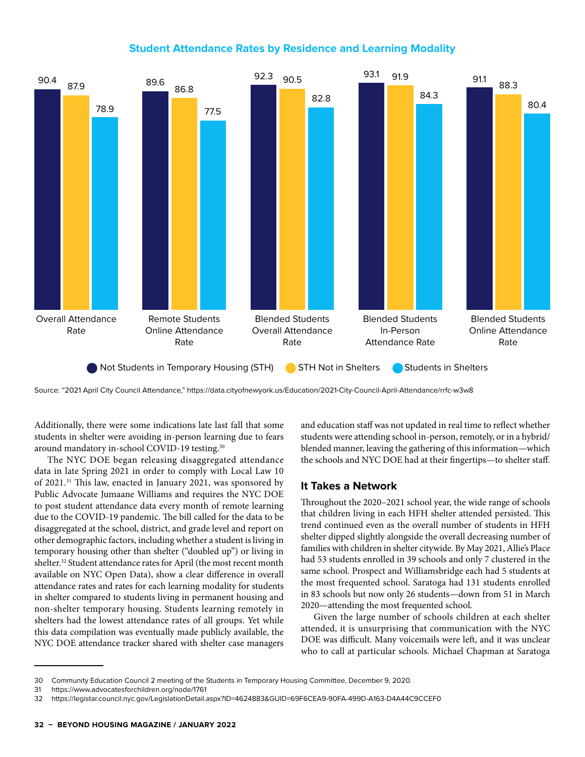### **Student Attendance Rates by Residence and Learning Modality**



Source: "2021 April City Council Attendance," https://data.cityofnewyork.us/Education/2021-City-Council-April-Attendance/rrfc-w3w8

Additionally, there were some indications late last fall that some students in shelter were avoiding in-person learning due to fears around mandatory in-school COVID-19 testing.30

The NYC DOE began releasing disaggregated attendance data in late Spring 2021 in order to comply with Local Law 10 of 2021.<sup>31</sup> This law, enacted in January 2021, was sponsored by Public Advocate Jumaane Williams and requires the NYC DOE to post student attendance data every month of remote learning due to the COVID-19 pandemic. The bill called for the data to be disaggregated at the school, district, and grade level and report on other demographic factors, including whether a student is living in temporary housing other than shelter ("doubled up") or living in shelter.<sup>32</sup> Student attendance rates for April (the most recent month available on NYC Open Data), show a clear difference in overall attendance rates and rates for each learning modality for students in shelter compared to students living in permanent housing and non-shelter temporary housing. Students learning remotely in shelters had the lowest attendance rates of all groups. Yet while this data compilation was eventually made publicly available, the NYC DOE attendance tracker shared with shelter case managers and education staff was not updated in real time to reflect whether students were attending school in-person, remotely, or in a hybrid/ blended manner, leaving the gathering of this information—which the schools and NYC DOE had at their fingertips—to shelter staff.

### **It Takes a Network**

Throughout the 2020–2021 school year, the wide range of schools that children living in each HFH shelter attended persisted. This trend continued even as the overall number of students in HFH shelter dipped slightly alongside the overall decreasing number of families with children in shelter citywide. By May 2021, Allie's Place had 53 students enrolled in 39 schools and only 7 clustered in the same school. Prospect and Williamsbridge each had 5 students at the most frequented school. Saratoga had 131 students enrolled in 83 schools but now only 26 students—down from 51 in March 2020—attending the most frequented school.

Given the large number of schools children at each shelter attended, it is unsurprising that communication with the NYC DOE was difficult. Many voicemails were left, and it was unclear who to call at particular schools. Michael Chapman at Saratoga

<sup>30</sup> Community Education Council 2 meeting of the Students in Temporary Housing Committee, December 9, 2020.

<sup>31</sup> https://www.advocatesforchildren.org/node/1761

<sup>32</sup> https://legistar.council.nyc.gov/LegislationDetail.aspx?ID=4624883&GUID=69F6CEA9-90FA-499D-A163-D4A44C9CCEF0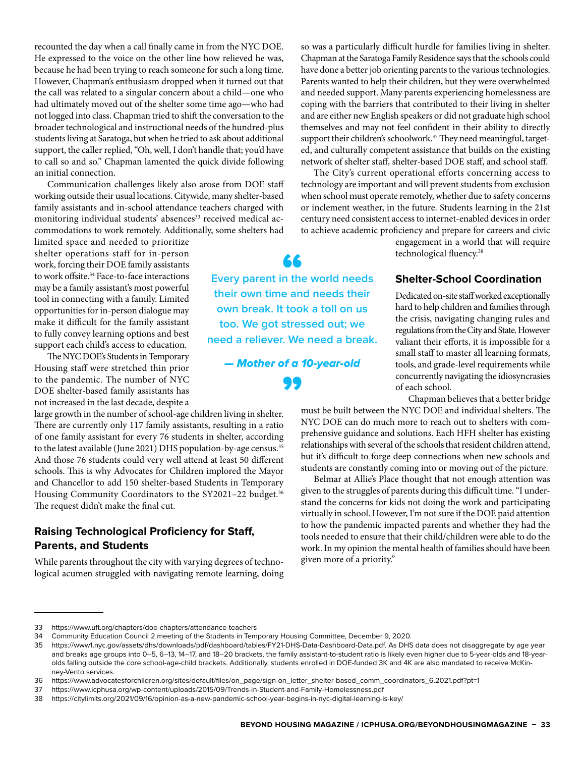recounted the day when a call finally came in from the NYC DOE. He expressed to the voice on the other line how relieved he was, because he had been trying to reach someone for such a long time. However, Chapman's enthusiasm dropped when it turned out that the call was related to a singular concern about a child—one who had ultimately moved out of the shelter some time ago—who had not logged into class. Chapman tried to shift the conversation to the broader technological and instructional needs of the hundred-plus students living at Saratoga, but when he tried to ask about additional support, the caller replied, "Oh, well, I don't handle that; you'd have to call so and so." Chapman lamented the quick divide following an initial connection.

Communication challenges likely also arose from DOE staff working outside their usual locations. Citywide, many shelter-based family assistants and in-school attendance teachers charged with monitoring individual students' absences<sup>33</sup> received medical accommodations to work remotely. Additionally, some shelters had

limited space and needed to prioritize shelter operations staff for in-person work, forcing their DOE family assistants to work offsite.<sup>34</sup> Face-to-face interactions may be a family assistant's most powerful tool in connecting with a family. Limited opportunities for in-person dialogue may make it difficult for the family assistant to fully convey learning options and best support each child's access to education.

The NYC DOE's Students in Temporary Housing staff were stretched thin prior to the pandemic. The number of NYC DOE shelter-based family assistants has not increased in the last decade, despite a

large growth in the number of school-age children living in shelter. There are currently only 117 family assistants, resulting in a ratio of one family assistant for every 76 students in shelter, according to the latest available (June 2021) DHS population-by-age census.35 And those 76 students could very well attend at least 50 different schools. This is why Advocates for Children implored the Mayor and Chancellor to add 150 shelter-based Students in Temporary Housing Community Coordinators to the SY2021-22 budget.<sup>36</sup> The request didn't make the final cut.

### **Raising Technological Proficiency for Staff, Parents, and Students**

While parents throughout the city with varying degrees of technological acumen struggled with navigating remote learning, doing so was a particularly difficult hurdle for families living in shelter. Chapman at the Saratoga Family Residence says that the schools could have done a better job orienting parents to the various technologies. Parents wanted to help their children, but they were overwhelmed and needed support. Many parents experiencing homelessness are coping with the barriers that contributed to their living in shelter and are either new English speakers or did not graduate high school themselves and may not feel confident in their ability to directly support their children's schoolwork.<sup>37</sup> They need meaningful, targeted, and culturally competent assistance that builds on the existing network of shelter staff, shelter-based DOE staff, and school staff.

The City's current operational efforts concerning access to technology are important and will prevent students from exclusion when school must operate remotely, whether due to safety concerns or inclement weather, in the future. Students learning in the 21st century need consistent access to internet-enabled devices in order to achieve academic proficiency and prepare for careers and civic

engagement in a world that will require technological fluency.<sup>38</sup>

### **Shelter-School Coordination**

Dedicated on-site staff worked exceptionally hard to help children and families through the crisis, navigating changing rules and regulations from the City and State. However valiant their efforts, it is impossible for a small staff to master all learning formats, tools, and grade-level requirements while concurrently navigating the idiosyncrasies of each school.

Chapman believes that a better bridge

must be built between the NYC DOE and individual shelters. The NYC DOE can do much more to reach out to shelters with comprehensive guidance and solutions. Each HFH shelter has existing relationships with several of the schools that resident children attend, but it's difficult to forge deep connections when new schools and students are constantly coming into or moving out of the picture.

Belmar at Allie's Place thought that not enough attention was given to the struggles of parents during this difficult time. "I understand the concerns for kids not doing the work and participating virtually in school. However, I'm not sure if the DOE paid attention to how the pandemic impacted parents and whether they had the tools needed to ensure that their child/children were able to do the work. In my opinion the mental health of families should have been given more of a priority."



**Every parent in the world needs their own time and needs their own break. It took a toll on us too. We got stressed out; we need a reliever. We need a break.** 

*— Mother of a 10-year-old*

<sup>33</sup> https://www.uft.org/chapters/doe-chapters/attendance-teachers<br>34 Community Education Council 2 meeting of the Students in Tem

<sup>34</sup> Community Education Council 2 meeting of the Students in Temporary Housing Committee, December 9, 2020.

<sup>35</sup> https://www1.nyc.gov/assets/dhs/downloads/pdf/dashboard/tables/FY21-DHS-Data-Dashboard-Data.pdf. As DHS data does not disaggregate by age year and breaks age groups into 0–5, 6–13, 14–17, and 18–20 brackets, the family assistant-to-student ratio is likely even higher due to 5-year-olds and 18-yearolds falling outside the core school-age-child brackets. Additionally, students enrolled in DOE-funded 3K and 4K are also mandated to receive McKinney-Vento services.

<sup>36</sup> https://www.advocatesforchildren.org/sites/default/files/on\_page/sign-on\_letter\_shelter-based\_comm\_coordinators\_6.2021.pdf?pt=1

<sup>37</sup> https://www.icphusa.org/wp-content/uploads/2015/09/Trends-in-Student-and-Family-Homelessness.pdf

<sup>38</sup> https://citylimits.org/2021/09/16/opinion-as-a-new-pandemic-school-year-begins-in-nyc-digital-learning-is-key/